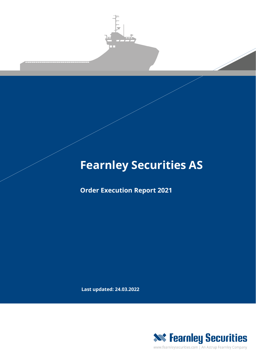

# **Fearnley Securities AS**

**Order Execution Report 2021**

**Last updated: 24.03.2022**



www.fearnleysecurities.com | An Astrup Fearnley Company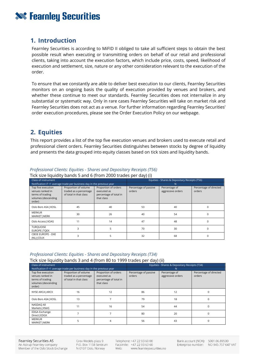## **XXX Fearnley Securities**

## **1. Introduction**

Fearnley Securities is according to MiFID II obliged to take all sufficient steps to obtain the best possible result when executing or transmitting orders on behalf of our retail and professional clients, taking into account the execution factors, which include price, costs, speed, likelihood of execution and settlement, size, nature or any other consideration relevant to the execution of the order.

To ensure that we constantly are able to deliver best execution to our clients, Fearnley Securities monitors on an ongoing basis the quality of execution provided by venues and brokers, and whether these continue to meet our standards. Fearnley Securities does not internalize in any substantial or systematic way. Only in rare cases Fearnley Securities will take on market risk and Fearnley Securities does not act as a venue. For further information regarding Fearnley Securities' order execution procedures, please see the Order Execution Policy on our webpage.

## **2. Equities**

This report provides a list of the top five execution venues and brokers used to execute retail and professional client orders. Fearnley Securities distinguishes between stocks by degree of liquidity and presents the data grouped into equity classes based on tick sizes and liquidity bands.

| Class of instrument                                                                         |                                                                          |                                                                             | ,,,,,<br>Equities - Shares & Depositary Receipts (T56) |                                    |                                  |
|---------------------------------------------------------------------------------------------|--------------------------------------------------------------------------|-----------------------------------------------------------------------------|--------------------------------------------------------|------------------------------------|----------------------------------|
| Notification if <1 average trade per business day in the previous year                      |                                                                          |                                                                             | N                                                      |                                    |                                  |
| Top five execution<br>venues ranked in<br>terms of trading<br>volumes (descending<br>order) | Proportion of volume<br>traded as a percentage<br>of total in that class | Proportion of orders<br>executed as<br>percentage of total in<br>that class | Percentage of passive<br>orders                        | Percentage of<br>aggressive orders | Percentage of directed<br>orders |
| Oslo Bors ASA   XOSL                                                                        | 45                                                                       | 40                                                                          | 53                                                     | 40                                 | C                                |
| <b>MERKUR</b><br>MARKET   MERK                                                              | 30                                                                       | 26                                                                          | 40                                                     | 54                                 | C                                |
| Oslo Access   XOAS                                                                          | 11                                                                       | 14                                                                          | 47                                                     | 48                                 |                                  |
| <b>TURQUOISE</b><br>EUROPE   TOEX                                                           |                                                                          | 5                                                                           | 70                                                     | 30                                 | 0                                |
| <b>CBOE EUROPE - DXE</b><br>$(NL)$ CEUX                                                     |                                                                          |                                                                             | 32                                                     | 68                                 |                                  |

#### *Professional Clients: Equities - Shares and Depositary Receipts (T56)*

Tick size liquidity bands 5 and 6 (from 2000 trades per day) (i)

#### *Professional Clients: Equities - Shares and Depositary Receipts (T34)*

Tick size liquidity bands 3 and 4 (from 80 to 1999 trades per day) (ii)

| Class of instrument                                                                         |                                                                          |                                                                             | Equities - Shares & Depositary Receipts (T34) |                                    |                                  |
|---------------------------------------------------------------------------------------------|--------------------------------------------------------------------------|-----------------------------------------------------------------------------|-----------------------------------------------|------------------------------------|----------------------------------|
| Notification if <1 average trade per business day in the previous year                      |                                                                          |                                                                             |                                               |                                    |                                  |
| Top five execution<br>venues ranked in<br>terms of trading<br>volumes (descending<br>order) | Proportion of volume<br>traded as a percentage<br>of total in that class | Proportion of orders<br>executed as<br>percentage of total in<br>that class | Percentage of passive<br>orders               | Percentage of<br>aggressive orders | Percentage of directed<br>orders |
| NYSE ARCA   ARCX                                                                            | 16                                                                       | 12                                                                          | 86                                            | 12                                 |                                  |
| Oslo Bors ASA   XOSL                                                                        | 13                                                                       |                                                                             | 79                                            | 18                                 |                                  |
| NASDAQ All<br>Markets   XNAS                                                                | 11                                                                       | 16                                                                          | 54                                            | 44                                 |                                  |
| <b>EDGA Exchange</b><br>Direct   EDGX                                                       |                                                                          |                                                                             | 80                                            | 20                                 |                                  |
| <b>MERKUR</b><br><b>MARKET   MERK</b>                                                       |                                                                          |                                                                             | 56                                            | 43                                 |                                  |

Grev Wedels plass 9 P.O. Box 1158 Sentrum N-0107 Oslo, Norway

Telephone: +47 22 93 60 00 Facsimile: +47 22 93 63 60 Web: www.fearnleysecurities.no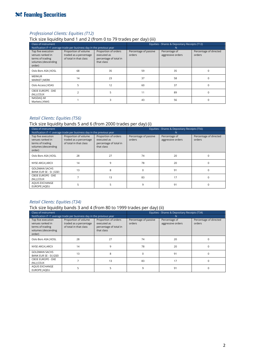## **Sourities**

#### *Professional Clients: Equities (T12)*

Tick size liquidity band 1 and 2 (from 0 to 79 trades per day) (iii)

| Class of instrument                                                                         |                                                                          |                                                                             | Equities - Shares & Depositary Receipts (T12) |                                    |                                  |
|---------------------------------------------------------------------------------------------|--------------------------------------------------------------------------|-----------------------------------------------------------------------------|-----------------------------------------------|------------------------------------|----------------------------------|
| Notification if <1 average trade per business day in the previous year                      |                                                                          |                                                                             |                                               |                                    |                                  |
| Top five execution<br>venues ranked in<br>terms of trading<br>volumes (descending<br>order) | Proportion of volume<br>traded as a percentage<br>of total in that class | Proportion of orders<br>executed as<br>percentage of total in<br>that class | Percentage of passive<br>orders               | Percentage of<br>aggressive orders | Percentage of directed<br>orders |
| Oslo Bors ASA   XOSL                                                                        | 68                                                                       | 35                                                                          | 59                                            | 35                                 |                                  |
| <b>MERKUR</b><br>MARKET   MERK                                                              | 14                                                                       | 23                                                                          | 37                                            | 58                                 | $\Omega$                         |
| Oslo Access   XOAS                                                                          | 5                                                                        | 12                                                                          | 60                                            | 37                                 |                                  |
| <b>CBOE EUROPE - DXE</b><br>$(NL)$ CEUX                                                     |                                                                          |                                                                             | 11                                            | 89                                 |                                  |
| NASDAQ All<br>Markets   XNAS                                                                |                                                                          |                                                                             | 43                                            | 56                                 |                                  |

#### *Retail Clients: Equities (T56)*

#### Tick size liquidity bands 5 and 6 (from 2000 trades per day) (i)

| Class of instrument                                                                         |                                                                          |                                                                             | Equities - Shares & Depositary Receipts (T56) |                                    |                                  |
|---------------------------------------------------------------------------------------------|--------------------------------------------------------------------------|-----------------------------------------------------------------------------|-----------------------------------------------|------------------------------------|----------------------------------|
| Notification if <1 average trade per business day in the previous year                      |                                                                          |                                                                             | N                                             |                                    |                                  |
| Top five execution<br>venues ranked in<br>terms of trading<br>volumes (descending<br>order) | Proportion of volume<br>traded as a percentage<br>of total in that class | Proportion of orders<br>executed as<br>percentage of total in<br>that class | Percentage of passive<br>orders               | Percentage of<br>aggressive orders | Percentage of directed<br>orders |
| Oslo Bors ASA   XOSL                                                                        | 28                                                                       | 27                                                                          | 74                                            | 20                                 |                                  |
| NYSE ARCA   ARCX                                                                            | 14                                                                       | 9                                                                           | 78                                            | 20                                 | $\Omega$                         |
| <b>GOLDMAN SACHS</b><br>BANK EUR SE - SI   GSEI                                             | 13                                                                       | 8                                                                           | $\Omega$                                      | 91                                 | $\Omega$                         |
| <b>CBOE EUROPE - DXE</b><br>$(NL)$ CEUX                                                     |                                                                          | 13                                                                          | 83                                            | 17                                 | 0                                |
| AQUIS EXCHANGE<br>EUROPE   AQEU                                                             | 5                                                                        |                                                                             | 9                                             | 91                                 | 0                                |

#### *Retail Clients: Equities (T34)*

#### Tick size liquidity bands 3 and 4 (from 80 to 1999 trades per day) (ii)

| Class of instrument                                                                         |                                                                          |                                                                             | Equities - Shares & Depositary Receipts (T34) |                                    |                                  |  |
|---------------------------------------------------------------------------------------------|--------------------------------------------------------------------------|-----------------------------------------------------------------------------|-----------------------------------------------|------------------------------------|----------------------------------|--|
| Notification if <1 average trade per business day in the previous year                      |                                                                          |                                                                             | N                                             |                                    |                                  |  |
| Top five execution<br>venues ranked in<br>terms of trading<br>volumes (descending<br>order) | Proportion of volume<br>traded as a percentage<br>of total in that class | Proportion of orders<br>executed as<br>percentage of total in<br>that class | Percentage of passive<br>orders               | Percentage of<br>aggressive orders | Percentage of directed<br>orders |  |
| Oslo Bors ASA   XOSL                                                                        | 28                                                                       | 27                                                                          | 74                                            | 20                                 |                                  |  |
| NYSE ARCA   ARCX                                                                            | 14                                                                       | 9                                                                           | 78                                            | 20                                 |                                  |  |
| <b>GOLDMAN SACHS</b><br>BANK EUR SE - SI   GSEI                                             | 13                                                                       | 8                                                                           | O                                             | 91                                 |                                  |  |
| <b>CBOE EUROPE - DXE</b><br>$(NL)$ CEUX                                                     |                                                                          | 13                                                                          | 83                                            | 17                                 |                                  |  |
| AQUIS EXCHANGE<br>EUROPE   AQEU                                                             |                                                                          |                                                                             | 9                                             | 91                                 |                                  |  |